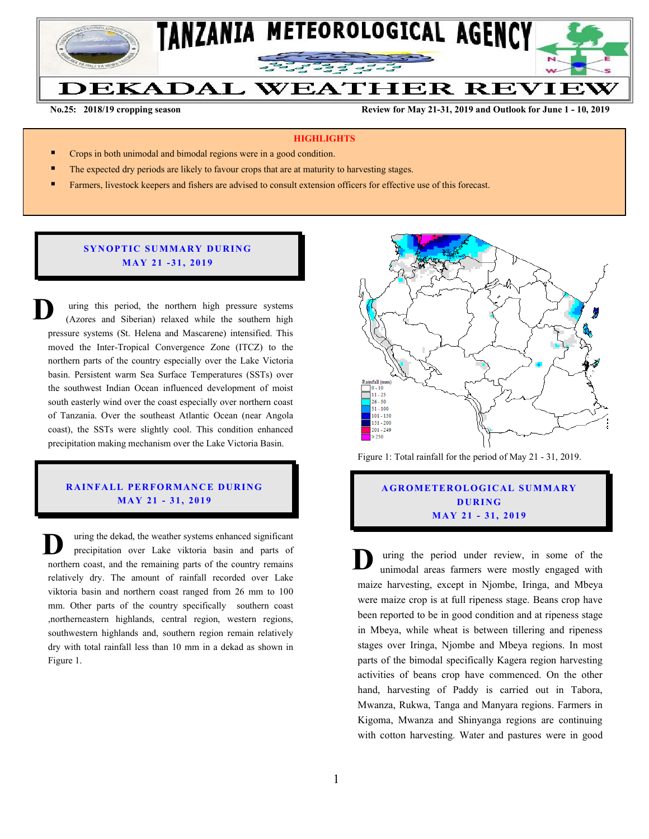

**No.25: 2018/19 cropping season Review for May 21-31, 2019 and Outlook for June 1 - 10, 2019** 

#### **HIGHLIGHTS**

- Crops in both unimodal and bimodal regions were in a good condition.
- The expected dry periods are likely to favour crops that are at maturity to harvesting stages.
- Farmers, livestock keepers and fishers are advised to consult extension officers for effective use of this forecast.

#### **SYNOPTIC SUMMARY DURING MA Y 21 - 31, 201 9**

uring this period, the northern high pressure systems (Azores and Siberian) relaxed while the southern high pressure systems (St. Helena and Mascarene) intensified. This moved the Inter-Tropical Convergence Zone (ITCZ) to the northern parts of the country especially over the Lake Victoria basin. Persistent warm Sea Surface Temperatures (SSTs) over the southwest Indian Ocean influenced development of moist south easterly wind over the coast especially over northern coast of Tanzania. Over the southeast Atlantic Ocean (near Angola coast), the SSTs were slightly cool. This condition enhanced precipitation making mechanism over the Lake Victoria Basin. **D**

## **RAINFALL PERFORMANCE DURING MA Y 21 - 31, 201 9**

uring the dekad, the weather systems enhanced significant precipitation over Lake viktoria basin and parts of northern coast, and the remaining parts of the country remains relatively dry. The amount of rainfall recorded over Lake viktoria basin and northern coast ranged from 26 mm to 100 mm. Other parts of the country specifically southern coast ,northerneastern highlands, central region, western regions, southwestern highlands and, southern region remain relatively dry with total rainfall less than 10 mm in a dekad as shown in Figure 1. The uring the dekad, the weather systems enhanced significant<br>precipitation over Lake viktoria basin and parts of<br>northern coast, and the remaining parts of the country remains<br>relatively dry. The amount of rainfall record



Figure 1: Total rainfall for the period of May 21 - 31, 2019.

# **A G RO METER O LO G IC AL SU MMAR Y D UR ING MA Y 21 - 31, 2019**

uring the period under review, in some of the unimodal areas farmers were mostly engaged with maize harvesting, except in Njombe, Iringa, and Mbeya were maize crop is at full ripeness stage. Beans crop have been reported to be in good condition and at ripeness stage in Mbeya, while wheat is between tillering and ripeness stages over Iringa, Njombe and Mbeya regions. In most parts of the bimodal specifically Kagera region harvesting activities of beans crop have commenced. On the other hand, harvesting of Paddy is carried out in Tabora, Mwanza, Rukwa, Tanga and Manyara regions. Farmers in Kigoma, Mwanza and Shinyanga regions are continuing with cotton harvesting. Water and pastures were in good